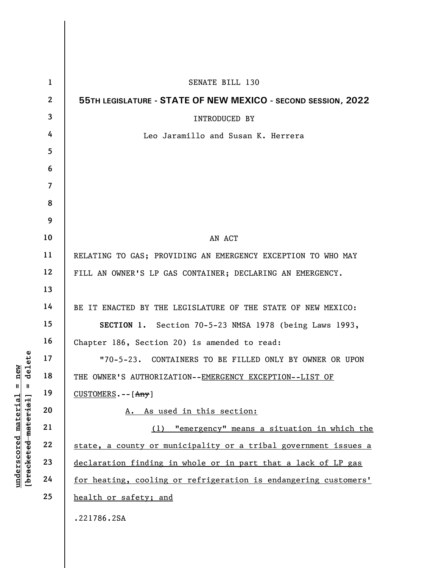|                                             | $\mathbf{1}$            | SENATE BILL 130                                                 |
|---------------------------------------------|-------------------------|-----------------------------------------------------------------|
|                                             | $\mathbf{2}$            | 55TH LEGISLATURE - STATE OF NEW MEXICO - SECOND SESSION, 2022   |
|                                             | $\overline{\mathbf{3}}$ | <b>INTRODUCED BY</b>                                            |
|                                             | 4                       | Leo Jaramillo and Susan K. Herrera                              |
|                                             | 5                       |                                                                 |
|                                             | 6                       |                                                                 |
|                                             | $\overline{7}$          |                                                                 |
|                                             | 8                       |                                                                 |
|                                             | 9                       |                                                                 |
|                                             | 10                      | AN ACT                                                          |
|                                             | 11                      | RELATING TO GAS; PROVIDING AN EMERGENCY EXCEPTION TO WHO MAY    |
|                                             | 12                      | FILL AN OWNER'S LP GAS CONTAINER; DECLARING AN EMERGENCY.       |
|                                             | 13                      |                                                                 |
|                                             | 14                      | BE IT ENACTED BY THE LEGISLATURE OF THE STATE OF NEW MEXICO:    |
|                                             | 15                      | SECTION 1. Section 70-5-23 NMSA 1978 (being Laws 1993,          |
|                                             | 16                      | Chapter 186, Section 20) is amended to read:                    |
| delete                                      | 17                      | "70-5-23. CONTAINERS TO BE FILLED ONLY BY OWNER OR UPON         |
| new                                         | 18                      | THE OWNER'S AUTHORIZATION--EMERGENCY EXCEPTION--LIST OF         |
| Ш<br>Ш                                      | 19                      | CUSTOMERS. -- [Any]                                             |
|                                             | 20                      | As used in this section:                                        |
| underscored material<br>[bracketed material | 21                      | "emergency" means a situation in which the<br>(1)               |
|                                             | 22                      | state, a county or municipality or a tribal government issues a |
|                                             | 23                      | declaration finding in whole or in part that a lack of LP gas   |
|                                             | 24                      | for heating, cooling or refrigeration is endangering customers' |
|                                             | 25                      | health or safety; and                                           |
|                                             |                         | .221786.2SA                                                     |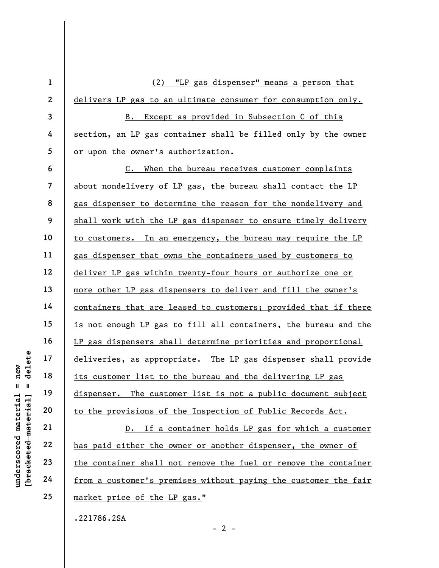underscored material = new [bracketed material] = delete 1 2 3 4 5 6 7 8 9 10 11 12 13 14 15 16 17 18 19 20 21 22 23 24 25 (2) "LP gas dispenser" means a person that delivers LP gas to an ultimate consumer for consumption only. B. Except as provided in Subsection C of this section, an LP gas container shall be filled only by the owner or upon the owner's authorization. C. When the bureau receives customer complaints about nondelivery of LP gas, the bureau shall contact the LP gas dispenser to determine the reason for the nondelivery and shall work with the LP gas dispenser to ensure timely delivery to customers. In an emergency, the bureau may require the LP gas dispenser that owns the containers used by customers to deliver LP gas within twenty-four hours or authorize one or more other LP gas dispensers to deliver and fill the owner's containers that are leased to customers; provided that if there is not enough LP gas to fill all containers, the bureau and the LP gas dispensers shall determine priorities and proportional deliveries, as appropriate. The LP gas dispenser shall provide its customer list to the bureau and the delivering LP gas dispenser. The customer list is not a public document subject to the provisions of the Inspection of Public Records Act. D. If a container holds LP gas for which a customer has paid either the owner or another dispenser, the owner of the container shall not remove the fuel or remove the container from a customer's premises without paying the customer the fair market price of the LP gas."

 $- 2 -$ 

.221786.2SA